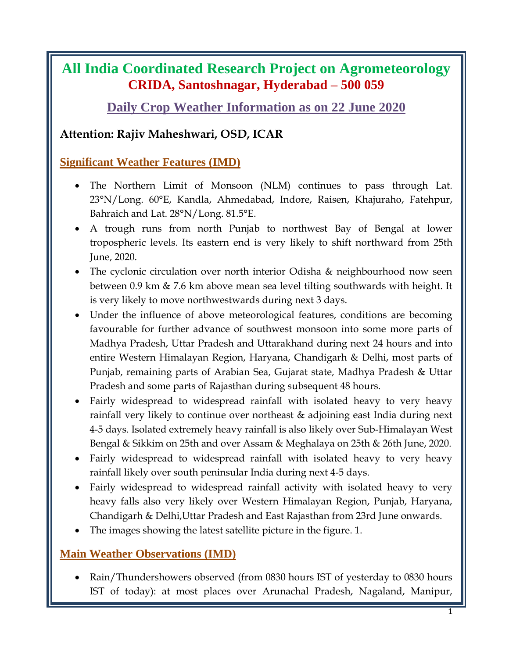# **All India Coordinated Research Project on Agrometeorology CRIDA, Santoshnagar, Hyderabad – 500 059**

# **Daily Crop Weather Information as on 22 June 2020**

## **Attention: Rajiv Maheshwari, OSD, ICAR**

### **Significant Weather Features (IMD)**

- The Northern Limit of Monsoon (NLM) continues to pass through Lat. 23°N/Long. 60°E, Kandla, Ahmedabad, Indore, Raisen, Khajuraho, Fatehpur, Bahraich and Lat. 28°N/Long. 81.5°E.
- A trough runs from north Punjab to northwest Bay of Bengal at lower tropospheric levels. Its eastern end is very likely to shift northward from 25th June, 2020.
- The cyclonic circulation over north interior Odisha & neighbourhood now seen between 0.9 km & 7.6 km above mean sea level tilting southwards with height. It is very likely to move northwestwards during next 3 days.
- Under the influence of above meteorological features, conditions are becoming favourable for further advance of southwest monsoon into some more parts of Madhya Pradesh, Uttar Pradesh and Uttarakhand during next 24 hours and into entire Western Himalayan Region, Haryana, Chandigarh & Delhi, most parts of Punjab, remaining parts of Arabian Sea, Gujarat state, Madhya Pradesh & Uttar Pradesh and some parts of Rajasthan during subsequent 48 hours.
- Fairly widespread to widespread rainfall with isolated heavy to very heavy rainfall very likely to continue over northeast & adjoining east India during next 4-5 days. Isolated extremely heavy rainfall is also likely over Sub-Himalayan West Bengal & Sikkim on 25th and over Assam & Meghalaya on 25th & 26th June, 2020.
- Fairly widespread to widespread rainfall with isolated heavy to very heavy rainfall likely over south peninsular India during next 4-5 days.
- Fairly widespread to widespread rainfall activity with isolated heavy to very heavy falls also very likely over Western Himalayan Region, Punjab, Haryana, Chandigarh & Delhi,Uttar Pradesh and East Rajasthan from 23rd June onwards.
- The images showing the latest satellite picture in the figure. 1.

### **Main Weather Observations (IMD)**

• Rain/Thundershowers observed (from 0830 hours IST of yesterday to 0830 hours IST of today): at most places over Arunachal Pradesh, Nagaland, Manipur,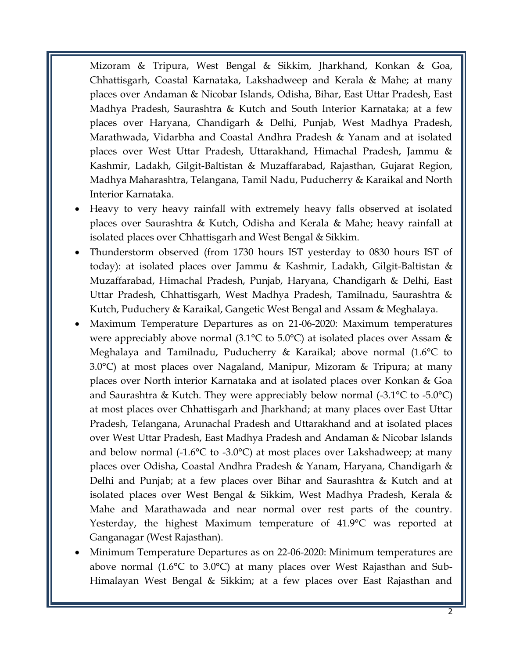Mizoram & Tripura, West Bengal & Sikkim, Jharkhand, Konkan & Goa, Chhattisgarh, Coastal Karnataka, Lakshadweep and Kerala & Mahe; at many places over Andaman & Nicobar Islands, Odisha, Bihar, East Uttar Pradesh, East Madhya Pradesh, Saurashtra & Kutch and South Interior Karnataka; at a few places over Haryana, Chandigarh & Delhi, Punjab, West Madhya Pradesh, Marathwada, Vidarbha and Coastal Andhra Pradesh & Yanam and at isolated places over West Uttar Pradesh, Uttarakhand, Himachal Pradesh, Jammu & Kashmir, Ladakh, Gilgit-Baltistan & Muzaffarabad, Rajasthan, Gujarat Region, Madhya Maharashtra, Telangana, Tamil Nadu, Puducherry & Karaikal and North Interior Karnataka.

- Heavy to very heavy rainfall with extremely heavy falls observed at isolated places over Saurashtra & Kutch, Odisha and Kerala & Mahe; heavy rainfall at isolated places over Chhattisgarh and West Bengal & Sikkim.
- Thunderstorm observed (from 1730 hours IST yesterday to 0830 hours IST of today): at isolated places over Jammu & Kashmir, Ladakh, Gilgit-Baltistan & Muzaffarabad, Himachal Pradesh, Punjab, Haryana, Chandigarh & Delhi, East Uttar Pradesh, Chhattisgarh, West Madhya Pradesh, Tamilnadu, Saurashtra & Kutch, Puduchery & Karaikal, Gangetic West Bengal and Assam & Meghalaya.
- Maximum Temperature Departures as on 21-06-2020: Maximum temperatures were appreciably above normal (3.1°C to 5.0°C) at isolated places over Assam & Meghalaya and Tamilnadu, Puducherry & Karaikal; above normal (1.6°C to 3.0°C) at most places over Nagaland, Manipur, Mizoram & Tripura; at many places over North interior Karnataka and at isolated places over Konkan & Goa and Saurashtra & Kutch. They were appreciably below normal (-3.1°C to -5.0°C) at most places over Chhattisgarh and Jharkhand; at many places over East Uttar Pradesh, Telangana, Arunachal Pradesh and Uttarakhand and at isolated places over West Uttar Pradesh, East Madhya Pradesh and Andaman & Nicobar Islands and below normal  $(-1.6^{\circ}\text{C})$  to  $-3.0^{\circ}\text{C}$  at most places over Lakshadweep; at many places over Odisha, Coastal Andhra Pradesh & Yanam, Haryana, Chandigarh & Delhi and Punjab; at a few places over Bihar and Saurashtra & Kutch and at isolated places over West Bengal & Sikkim, West Madhya Pradesh, Kerala & Mahe and Marathawada and near normal over rest parts of the country. Yesterday, the highest Maximum temperature of 41.9°C was reported at Ganganagar (West Rajasthan).
- Minimum Temperature Departures as on 22-06-2020: Minimum temperatures are above normal (1.6°C to 3.0°C) at many places over West Rajasthan and Sub-Himalayan West Bengal & Sikkim; at a few places over East Rajasthan and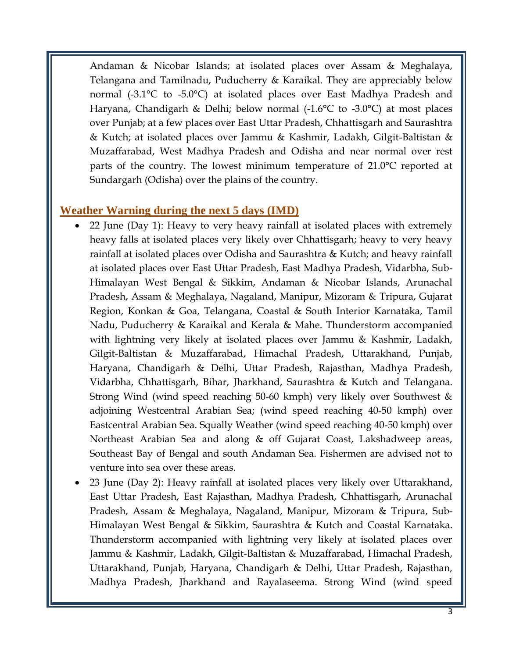Andaman & Nicobar Islands; at isolated places over Assam & Meghalaya, Telangana and Tamilnadu, Puducherry & Karaikal. They are appreciably below normal (-3.1°C to -5.0°C) at isolated places over East Madhya Pradesh and Haryana, Chandigarh & Delhi; below normal (-1.6°C to -3.0°C) at most places over Punjab; at a few places over East Uttar Pradesh, Chhattisgarh and Saurashtra & Kutch; at isolated places over Jammu & Kashmir, Ladakh, Gilgit-Baltistan & Muzaffarabad, West Madhya Pradesh and Odisha and near normal over rest parts of the country. The lowest minimum temperature of 21.0°C reported at Sundargarh (Odisha) over the plains of the country.

#### **Weather Warning during the next 5 days (IMD)**

- 22 June (Day 1): Heavy to very heavy rainfall at isolated places with extremely heavy falls at isolated places very likely over Chhattisgarh; heavy to very heavy rainfall at isolated places over Odisha and Saurashtra & Kutch; and heavy rainfall at isolated places over East Uttar Pradesh, East Madhya Pradesh, Vidarbha, Sub-Himalayan West Bengal & Sikkim, Andaman & Nicobar Islands, Arunachal Pradesh, Assam & Meghalaya, Nagaland, Manipur, Mizoram & Tripura, Gujarat Region, Konkan & Goa, Telangana, Coastal & South Interior Karnataka, Tamil Nadu, Puducherry & Karaikal and Kerala & Mahe. Thunderstorm accompanied with lightning very likely at isolated places over Jammu & Kashmir, Ladakh, Gilgit-Baltistan & Muzaffarabad, Himachal Pradesh, Uttarakhand, Punjab, Haryana, Chandigarh & Delhi, Uttar Pradesh, Rajasthan, Madhya Pradesh, Vidarbha, Chhattisgarh, Bihar, Jharkhand, Saurashtra & Kutch and Telangana. Strong Wind (wind speed reaching 50-60 kmph) very likely over Southwest & adjoining Westcentral Arabian Sea; (wind speed reaching 40-50 kmph) over Eastcentral Arabian Sea. Squally Weather (wind speed reaching 40-50 kmph) over Northeast Arabian Sea and along & off Gujarat Coast, Lakshadweep areas, Southeast Bay of Bengal and south Andaman Sea. Fishermen are advised not to venture into sea over these areas.
- 23 June (Day 2): Heavy rainfall at isolated places very likely over Uttarakhand, East Uttar Pradesh, East Rajasthan, Madhya Pradesh, Chhattisgarh, Arunachal Pradesh, Assam & Meghalaya, Nagaland, Manipur, Mizoram & Tripura, Sub-Himalayan West Bengal & Sikkim, Saurashtra & Kutch and Coastal Karnataka. Thunderstorm accompanied with lightning very likely at isolated places over Jammu & Kashmir, Ladakh, Gilgit-Baltistan & Muzaffarabad, Himachal Pradesh, Uttarakhand, Punjab, Haryana, Chandigarh & Delhi, Uttar Pradesh, Rajasthan, Madhya Pradesh, Jharkhand and Rayalaseema. Strong Wind (wind speed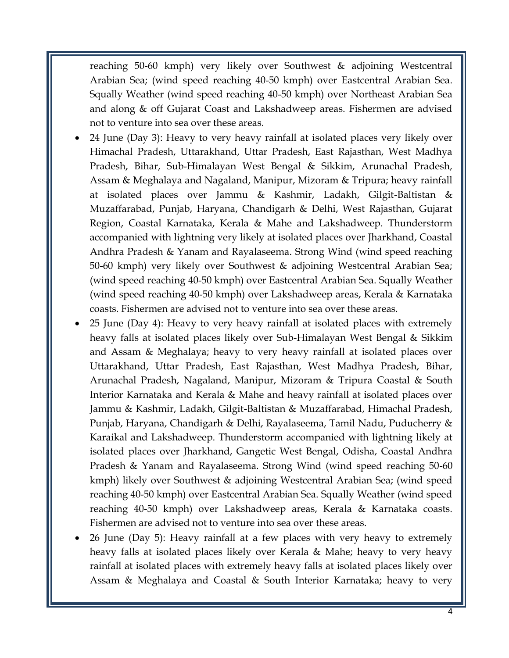reaching 50-60 kmph) very likely over Southwest & adjoining Westcentral Arabian Sea; (wind speed reaching 40-50 kmph) over Eastcentral Arabian Sea. Squally Weather (wind speed reaching 40-50 kmph) over Northeast Arabian Sea and along & off Gujarat Coast and Lakshadweep areas. Fishermen are advised not to venture into sea over these areas.

- 24 June (Day 3): Heavy to very heavy rainfall at isolated places very likely over Himachal Pradesh, Uttarakhand, Uttar Pradesh, East Rajasthan, West Madhya Pradesh, Bihar, Sub-Himalayan West Bengal & Sikkim, Arunachal Pradesh, Assam & Meghalaya and Nagaland, Manipur, Mizoram & Tripura; heavy rainfall at isolated places over Jammu & Kashmir, Ladakh, Gilgit-Baltistan & Muzaffarabad, Punjab, Haryana, Chandigarh & Delhi, West Rajasthan, Gujarat Region, Coastal Karnataka, Kerala & Mahe and Lakshadweep. Thunderstorm accompanied with lightning very likely at isolated places over Jharkhand, Coastal Andhra Pradesh & Yanam and Rayalaseema. Strong Wind (wind speed reaching 50-60 kmph) very likely over Southwest & adjoining Westcentral Arabian Sea; (wind speed reaching 40-50 kmph) over Eastcentral Arabian Sea. Squally Weather (wind speed reaching 40-50 kmph) over Lakshadweep areas, Kerala & Karnataka coasts. Fishermen are advised not to venture into sea over these areas.
- 25 June (Day 4): Heavy to very heavy rainfall at isolated places with extremely heavy falls at isolated places likely over Sub-Himalayan West Bengal & Sikkim and Assam & Meghalaya; heavy to very heavy rainfall at isolated places over Uttarakhand, Uttar Pradesh, East Rajasthan, West Madhya Pradesh, Bihar, Arunachal Pradesh, Nagaland, Manipur, Mizoram & Tripura Coastal & South Interior Karnataka and Kerala & Mahe and heavy rainfall at isolated places over Jammu & Kashmir, Ladakh, Gilgit-Baltistan & Muzaffarabad, Himachal Pradesh, Punjab, Haryana, Chandigarh & Delhi, Rayalaseema, Tamil Nadu, Puducherry & Karaikal and Lakshadweep. Thunderstorm accompanied with lightning likely at isolated places over Jharkhand, Gangetic West Bengal, Odisha, Coastal Andhra Pradesh & Yanam and Rayalaseema. Strong Wind (wind speed reaching 50-60 kmph) likely over Southwest & adjoining Westcentral Arabian Sea; (wind speed reaching 40-50 kmph) over Eastcentral Arabian Sea. Squally Weather (wind speed reaching 40-50 kmph) over Lakshadweep areas, Kerala & Karnataka coasts. Fishermen are advised not to venture into sea over these areas.
- 26 June (Day 5): Heavy rainfall at a few places with very heavy to extremely heavy falls at isolated places likely over Kerala & Mahe; heavy to very heavy rainfall at isolated places with extremely heavy falls at isolated places likely over Assam & Meghalaya and Coastal & South Interior Karnataka; heavy to very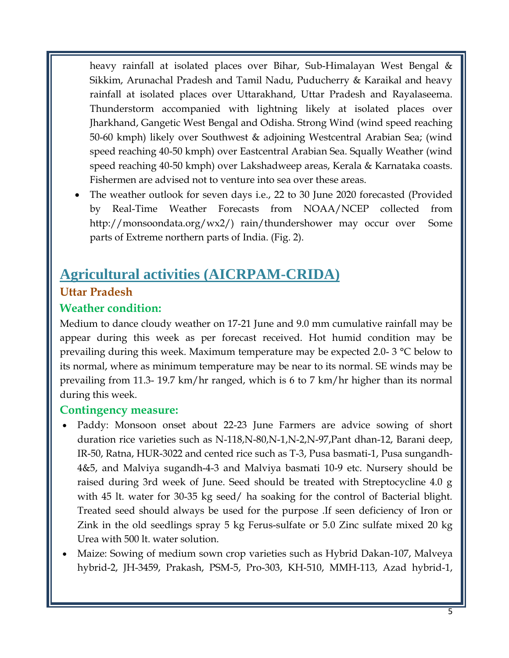heavy rainfall at isolated places over Bihar, Sub-Himalayan West Bengal & Sikkim, Arunachal Pradesh and Tamil Nadu, Puducherry & Karaikal and heavy rainfall at isolated places over Uttarakhand, Uttar Pradesh and Rayalaseema. Thunderstorm accompanied with lightning likely at isolated places over Jharkhand, Gangetic West Bengal and Odisha. Strong Wind (wind speed reaching 50-60 kmph) likely over Southwest & adjoining Westcentral Arabian Sea; (wind speed reaching 40-50 kmph) over Eastcentral Arabian Sea. Squally Weather (wind speed reaching 40-50 kmph) over Lakshadweep areas, Kerala & Karnataka coasts. Fishermen are advised not to venture into sea over these areas.

 The weather outlook for seven days i.e., 22 to 30 June 2020 forecasted (Provided by Real-Time Weather Forecasts from NOAA/NCEP collected from http://monsoondata.org/wx2/) rain/thundershower may occur over Some parts of Extreme northern parts of India. (Fig. 2).

# **Agricultural activities (AICRPAM-CRIDA)**

### **Uttar Pradesh**

### **Weather condition:**

Medium to dance cloudy weather on 17-21 June and 9.0 mm cumulative rainfall may be appear during this week as per forecast received. Hot humid condition may be prevailing during this week. Maximum temperature may be expected 2.0- 3 °C below to its normal, where as minimum temperature may be near to its normal. SE winds may be prevailing from 11.3- 19.7 km/hr ranged, which is 6 to 7 km/hr higher than its normal during this week.

### **Contingency measure:**

- Paddy: Monsoon onset about 22-23 June Farmers are advice sowing of short duration rice varieties such as N-118,N-80,N-1,N-2,N-97,Pant dhan-12, Barani deep, IR-50, Ratna, HUR-3022 and cented rice such as T-3, Pusa basmati-1, Pusa sungandh-4&5, and Malviya sugandh-4-3 and Malviya basmati 10-9 etc. Nursery should be raised during 3rd week of June. Seed should be treated with Streptocycline 4.0 g with 45 lt. water for 30-35 kg seed/ ha soaking for the control of Bacterial blight. Treated seed should always be used for the purpose .If seen deficiency of Iron or Zink in the old seedlings spray 5 kg Ferus-sulfate or 5.0 Zinc sulfate mixed 20 kg Urea with 500 lt. water solution.
- Maize: Sowing of medium sown crop varieties such as Hybrid Dakan-107, Malveya hybrid-2, JH-3459, Prakash, PSM-5, Pro-303, KH-510, MMH-113, Azad hybrid-1,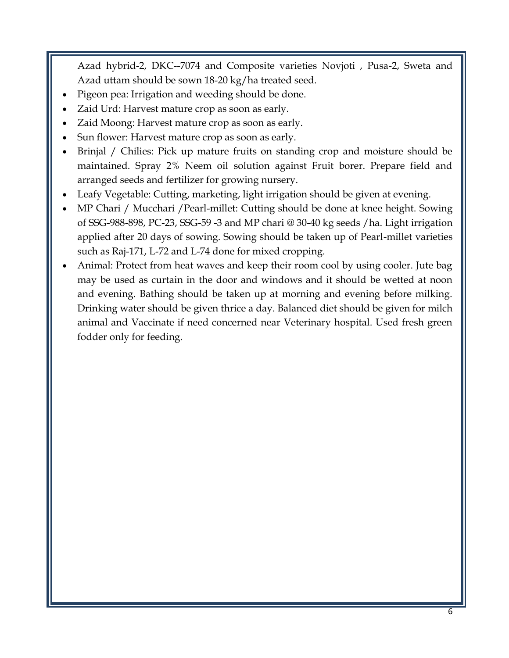Azad hybrid-2, DKC--7074 and Composite varieties Novjoti , Pusa-2, Sweta and Azad uttam should be sown 18-20 kg/ha treated seed.

- Pigeon pea: Irrigation and weeding should be done.
- Zaid Urd: Harvest mature crop as soon as early.
- Zaid Moong: Harvest mature crop as soon as early.
- Sun flower: Harvest mature crop as soon as early.
- Brinjal / Chilies: Pick up mature fruits on standing crop and moisture should be maintained. Spray 2% Neem oil solution against Fruit borer. Prepare field and arranged seeds and fertilizer for growing nursery.
- Leafy Vegetable: Cutting, marketing, light irrigation should be given at evening.
- MP Chari / Mucchari /Pearl-millet: Cutting should be done at knee height. Sowing of SSG-988-898, PC-23, SSG-59 -3 and MP chari @ 30-40 kg seeds /ha. Light irrigation applied after 20 days of sowing. Sowing should be taken up of Pearl-millet varieties such as Raj-171, L-72 and L-74 done for mixed cropping.
- Animal: Protect from heat waves and keep their room cool by using cooler. Jute bag may be used as curtain in the door and windows and it should be wetted at noon and evening. Bathing should be taken up at morning and evening before milking. Drinking water should be given thrice a day. Balanced diet should be given for milch animal and Vaccinate if need concerned near Veterinary hospital. Used fresh green fodder only for feeding.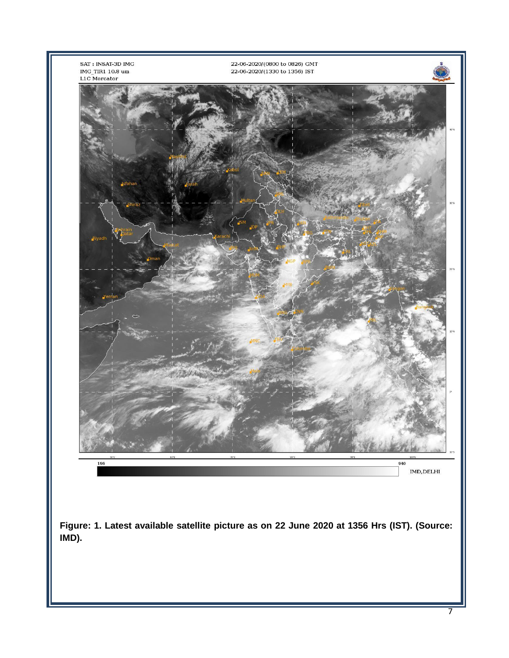